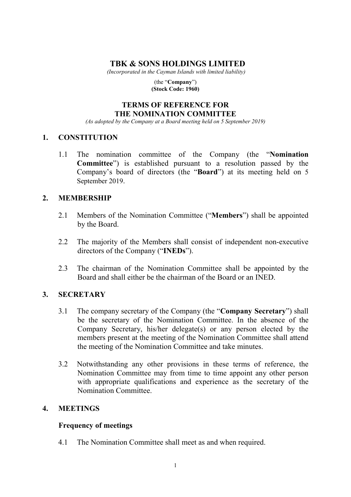# **TBK & SONS HOLDINGS LIMITED**

*(Incorporated in the Cayman Islands with limited liability)* 

(the "**Company**") **(Stock Code: 1960)** 

#### **TERMS OF REFERENCE FOR THE NOMINATION COMMITTEE**

*(As adopted by the Company at a Board meeting held on 5 September 2019)* 

#### **1. CONSTITUTION**

1.1 The nomination committee of the Company (the "**Nomination Committee**") is established pursuant to a resolution passed by the Company's board of directors (the "**Board**") at its meeting held on 5 September 2019.

# **2. MEMBERSHIP**

- 2.1 Members of the Nomination Committee ("**Members**") shall be appointed by the Board.
- 2.2 The majority of the Members shall consist of independent non-executive directors of the Company ("**INEDs**").
- 2.3 The chairman of the Nomination Committee shall be appointed by the Board and shall either be the chairman of the Board or an INED.

# **3. SECRETARY**

- 3.1 The company secretary of the Company (the "**Company Secretary**") shall be the secretary of the Nomination Committee. In the absence of the Company Secretary, his/her delegate(s) or any person elected by the members present at the meeting of the Nomination Committee shall attend the meeting of the Nomination Committee and take minutes.
- 3.2 Notwithstanding any other provisions in these terms of reference, the Nomination Committee may from time to time appoint any other person with appropriate qualifications and experience as the secretary of the Nomination Committee.

# **4. MEETINGS**

# **Frequency of meetings**

4.1 The Nomination Committee shall meet as and when required.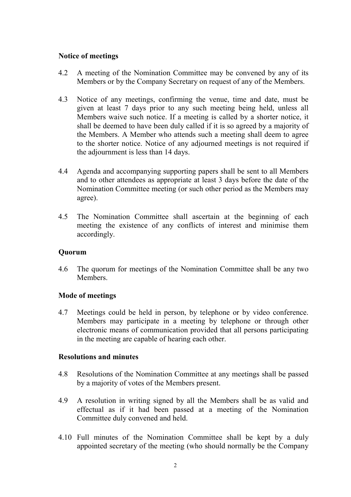#### **Notice of meetings**

- 4.2 A meeting of the Nomination Committee may be convened by any of its Members or by the Company Secretary on request of any of the Members.
- 4.3 Notice of any meetings, confirming the venue, time and date, must be given at least 7 days prior to any such meeting being held, unless all Members waive such notice. If a meeting is called by a shorter notice, it shall be deemed to have been duly called if it is so agreed by a majority of the Members. A Member who attends such a meeting shall deem to agree to the shorter notice. Notice of any adjourned meetings is not required if the adjournment is less than 14 days.
- 4.4 Agenda and accompanying supporting papers shall be sent to all Members and to other attendees as appropriate at least 3 days before the date of the Nomination Committee meeting (or such other period as the Members may agree).
- 4.5 The Nomination Committee shall ascertain at the beginning of each meeting the existence of any conflicts of interest and minimise them accordingly.

#### **Quorum**

4.6 The quorum for meetings of the Nomination Committee shall be any two Members.

# **Mode of meetings**

4.7 Meetings could be held in person, by telephone or by video conference. Members may participate in a meeting by telephone or through other electronic means of communication provided that all persons participating in the meeting are capable of hearing each other.

#### **Resolutions and minutes**

- 4.8 Resolutions of the Nomination Committee at any meetings shall be passed by a majority of votes of the Members present.
- 4.9 A resolution in writing signed by all the Members shall be as valid and effectual as if it had been passed at a meeting of the Nomination Committee duly convened and held.
- 4.10 Full minutes of the Nomination Committee shall be kept by a duly appointed secretary of the meeting (who should normally be the Company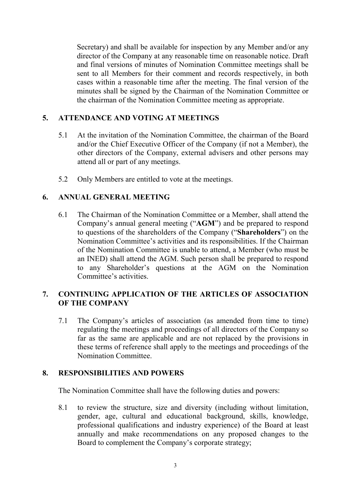Secretary) and shall be available for inspection by any Member and/or any director of the Company at any reasonable time on reasonable notice. Draft and final versions of minutes of Nomination Committee meetings shall be sent to all Members for their comment and records respectively, in both cases within a reasonable time after the meeting. The final version of the minutes shall be signed by the Chairman of the Nomination Committee or the chairman of the Nomination Committee meeting as appropriate.

#### **5. ATTENDANCE AND VOTING AT MEETINGS**

- 5.1 At the invitation of the Nomination Committee, the chairman of the Board and/or the Chief Executive Officer of the Company (if not a Member), the other directors of the Company, external advisers and other persons may attend all or part of any meetings.
- 5.2 Only Members are entitled to vote at the meetings.

# **6. ANNUAL GENERAL MEETING**

6.1 The Chairman of the Nomination Committee or a Member, shall attend the Company's annual general meeting ("**AGM**") and be prepared to respond to questions of the shareholders of the Company ("**Shareholders**") on the Nomination Committee's activities and its responsibilities. If the Chairman of the Nomination Committee is unable to attend, a Member (who must be an INED) shall attend the AGM. Such person shall be prepared to respond to any Shareholder's questions at the AGM on the Nomination Committee's activities.

#### **7. CONTINUING APPLICATION OF THE ARTICLES OF ASSOCIATION OF THE COMPANY**

7.1 The Company's articles of association (as amended from time to time) regulating the meetings and proceedings of all directors of the Company so far as the same are applicable and are not replaced by the provisions in these terms of reference shall apply to the meetings and proceedings of the Nomination Committee.

#### **8. RESPONSIBILITIES AND POWERS**

The Nomination Committee shall have the following duties and powers:

8.1 to review the structure, size and diversity (including without limitation, gender, age, cultural and educational background, skills, knowledge, professional qualifications and industry experience) of the Board at least annually and make recommendations on any proposed changes to the Board to complement the Company's corporate strategy;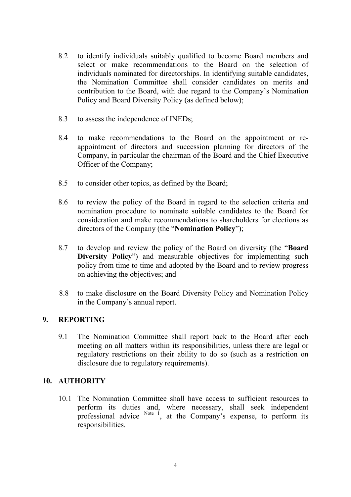- 8.2 to identify individuals suitably qualified to become Board members and select or make recommendations to the Board on the selection of individuals nominated for directorships. In identifying suitable candidates, the Nomination Committee shall consider candidates on merits and contribution to the Board, with due regard to the Company's Nomination Policy and Board Diversity Policy (as defined below);
- 8.3 to assess the independence of INEDs;
- 8.4 to make recommendations to the Board on the appointment or reappointment of directors and succession planning for directors of the Company, in particular the chairman of the Board and the Chief Executive Officer of the Company;
- 8.5 to consider other topics, as defined by the Board;
- 8.6 to review the policy of the Board in regard to the selection criteria and nomination procedure to nominate suitable candidates to the Board for consideration and make recommendations to shareholders for elections as directors of the Company (the "**Nomination Policy**");
- 8.7 to develop and review the policy of the Board on diversity (the "**Board Diversity Policy**") and measurable objectives for implementing such policy from time to time and adopted by the Board and to review progress on achieving the objectives; and
- 8.8 to make disclosure on the Board Diversity Policy and Nomination Policy in the Company's annual report.

# **9. REPORTING**

9.1 The Nomination Committee shall report back to the Board after each meeting on all matters within its responsibilities, unless there are legal or regulatory restrictions on their ability to do so (such as a restriction on disclosure due to regulatory requirements).

# **10. AUTHORITY**

10.1 The Nomination Committee shall have access to sufficient resources to perform its duties and, where necessary, shall seek independent professional advice  $N_{\text{ote}}$  i, at the Company's expense, to perform its responsibilities.